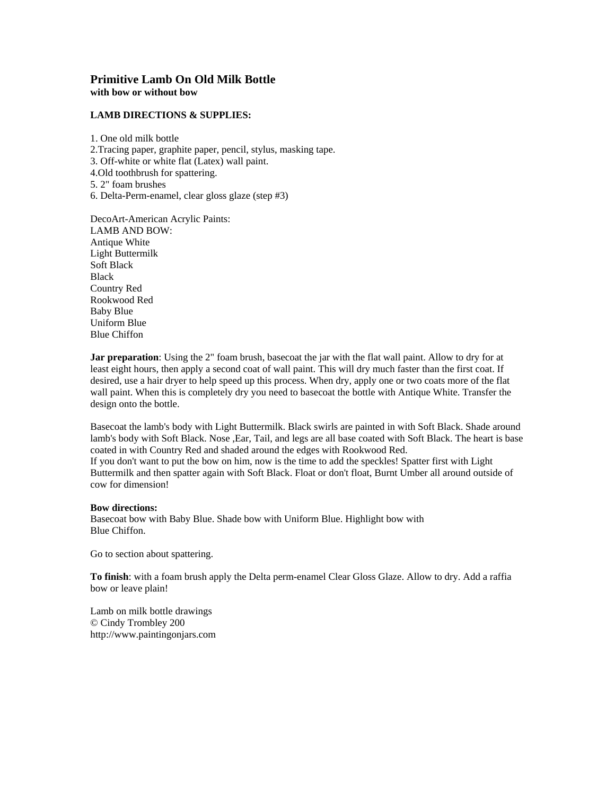## **Primitive Lamb On Old Milk Bottle with bow or without bow**

## **LAMB DIRECTIONS & SUPPLIES:**

1. One old milk bottle 2.Tracing paper, graphite paper, pencil, stylus, masking tape. 3. Off-white or white flat (Latex) wall paint. 4.Old toothbrush for spattering. 5. 2" foam brushes 6. Delta-Perm-enamel, clear gloss glaze (step #3)

DecoArt-American Acrylic Paints: LAMB AND BOW: Antique White Light Buttermilk Soft Black Black Country Red Rookwood Red Baby Blue Uniform Blue Blue Chiffon

**Jar preparation**: Using the 2" foam brush, basecoat the jar with the flat wall paint. Allow to dry for at least eight hours, then apply a second coat of wall paint. This will dry much faster than the first coat. If desired, use a hair dryer to help speed up this process. When dry, apply one or two coats more of the flat wall paint. When this is completely dry you need to basecoat the bottle with Antique White. Transfer the design onto the bottle.

Basecoat the lamb's body with Light Buttermilk. Black swirls are painted in with Soft Black. Shade around lamb's body with Soft Black. Nose ,Ear, Tail, and legs are all base coated with Soft Black. The heart is base coated in with Country Red and shaded around the edges with Rookwood Red. If you don't want to put the bow on him, now is the time to add the speckles! Spatter first with Light

Buttermilk and then spatter again with Soft Black. Float or don't float, Burnt Umber all around outside of cow for dimension!

## **Bow directions:**

Basecoat bow with Baby Blue. Shade bow with Uniform Blue. Highlight bow with Blue Chiffon.

Go to section about spattering.

**To finish**: with a foam brush apply the Delta perm-enamel Clear Gloss Glaze. Allow to dry. Add a raffia bow or leave plain!

Lamb on milk bottle drawings © Cindy Trombley 200 http://www.paintingonjars.com